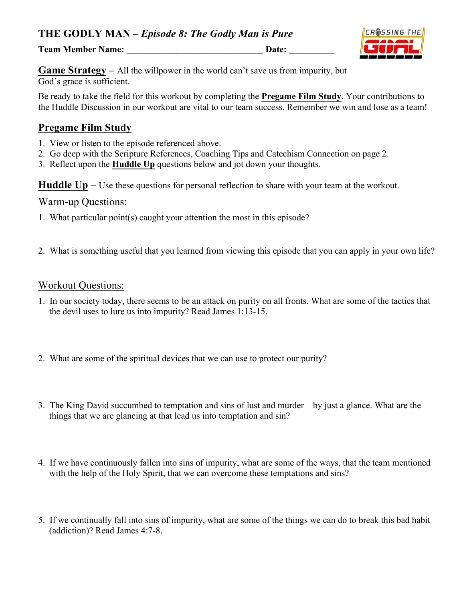**Team Member Name: \_\_\_\_\_\_\_\_\_\_\_\_\_\_\_\_\_\_\_\_\_\_\_\_\_\_\_\_\_\_ Date: \_\_\_\_\_\_\_\_\_\_**



**Game Strategy –** All the willpower in the world can't save us from impurity, but God's grace is sufficient.

Be ready to take the field for this workout by completing the **Pregame Film Study**. Your contributions to the Huddle Discussion in our workout are vital to our team success. Remember we win and lose as a team!

## **Pregame Film Study**

- 1. View or listen to the episode referenced above.
- 2. Go deep with the Scripture References, Coaching Tips and Catechism Connection on page 2.
- 3. Reflect upon the **Huddle Up** questions below and jot down your thoughts.

**Huddle Up** – Use these questions for personal reflection to share with your team at the workout.

#### Warm-up Questions:

- 1. What particular point(s) caught your attention the most in this episode?
- 2. What is something useful that you learned from viewing this episode that you can apply in your own life?

#### Workout Questions:

- 1. In our society today, there seems to be an attack on purity on all fronts. What are some of the tactics that the devil uses to lure us into impurity? Read James 1:13-15.
- 2. What are some of the spiritual devices that we can use to protect our purity?
- 3. The King David succumbed to temptation and sins of lust and murder by just a glance. What are the things that we are glancing at that lead us into temptation and sin?
- 4. If we have continuously fallen into sins of impurity, what are some of the ways, that the team mentioned with the help of the Holy Spirit, that we can overcome these temptations and sins?
- 5. If we continually fall into sins of impurity, what are some of the things we can do to break this bad habit (addiction)? Read James 4:7-8.